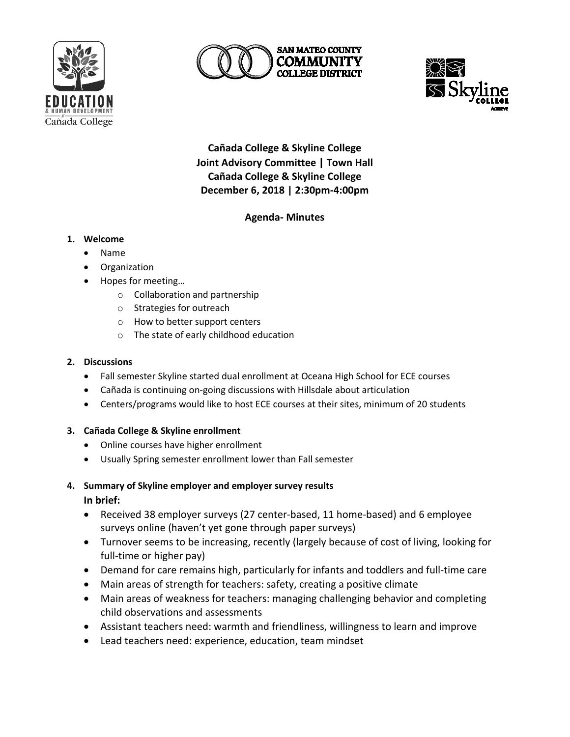





**Cañada College & Skyline College Joint Advisory Committee | Town Hall Cañada College & Skyline College December 6, 2018 | 2:30pm-4:00pm**

# **Agenda- Minutes**

# **1. Welcome**

- Name
- Organization
- Hopes for meeting…
	- o Collaboration and partnership
	- o Strategies for outreach
	- o How to better support centers
	- o The state of early childhood education

### **2. Discussions**

- Fall semester Skyline started dual enrollment at Oceana High School for ECE courses
- Cañada is continuing on-going discussions with Hillsdale about articulation
- Centers/programs would like to host ECE courses at their sites, minimum of 20 students

### **3. Cañada College & Skyline enrollment**

- Online courses have higher enrollment
- Usually Spring semester enrollment lower than Fall semester
- **4. Summary of Skyline employer and employer survey results In brief:**
	- Received 38 employer surveys (27 center-based, 11 home-based) and 6 employee surveys online (haven't yet gone through paper surveys)
	- Turnover seems to be increasing, recently (largely because of cost of living, looking for full-time or higher pay)
	- Demand for care remains high, particularly for infants and toddlers and full-time care
	- Main areas of strength for teachers: safety, creating a positive climate
	- Main areas of weakness for teachers: managing challenging behavior and completing child observations and assessments
	- Assistant teachers need: warmth and friendliness, willingness to learn and improve
	- Lead teachers need: experience, education, team mindset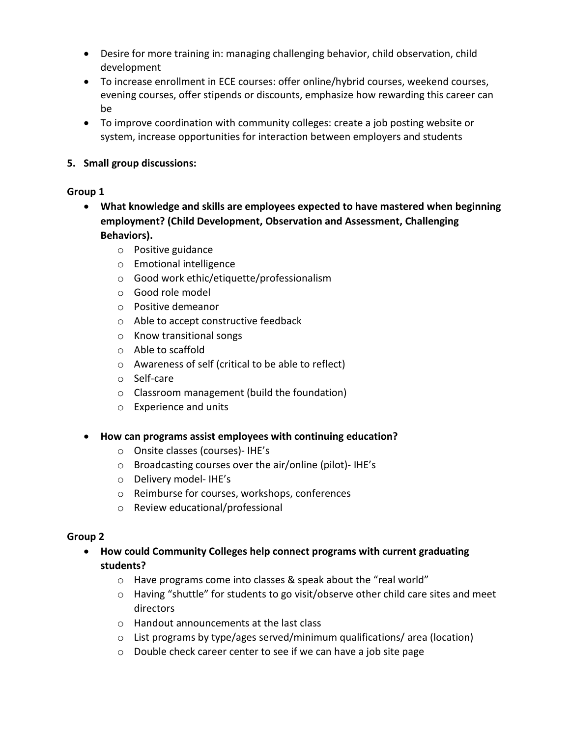- Desire for more training in: managing challenging behavior, child observation, child development
- To increase enrollment in ECE courses: offer online/hybrid courses, weekend courses, evening courses, offer stipends or discounts, emphasize how rewarding this career can be
- To improve coordination with community colleges: create a job posting website or system, increase opportunities for interaction between employers and students

# **5. Small group discussions:**

# **Group 1**

- **What knowledge and skills are employees expected to have mastered when beginning employment? (Child Development, Observation and Assessment, Challenging Behaviors).**
	- o Positive guidance
	- o Emotional intelligence
	- o Good work ethic/etiquette/professionalism
	- o Good role model
	- o Positive demeanor
	- o Able to accept constructive feedback
	- o Know transitional songs
	- o Able to scaffold
	- o Awareness of self (critical to be able to reflect)
	- o Self-care
	- o Classroom management (build the foundation)
	- o Experience and units
- **How can programs assist employees with continuing education?**
	- o Onsite classes (courses)- IHE's
	- o Broadcasting courses over the air/online (pilot)- IHE's
	- o Delivery model- IHE's
	- o Reimburse for courses, workshops, conferences
	- o Review educational/professional

# **Group 2**

- **How could Community Colleges help connect programs with current graduating students?**
	- o Have programs come into classes & speak about the "real world"
	- $\circ$  Having "shuttle" for students to go visit/observe other child care sites and meet directors
	- o Handout announcements at the last class
	- o List programs by type/ages served/minimum qualifications/ area (location)
	- o Double check career center to see if we can have a job site page